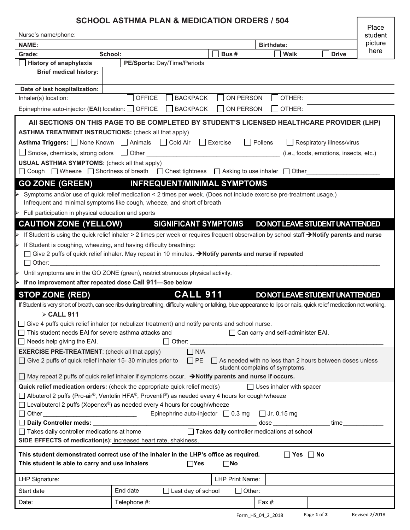# **SCHOOL ASTHMA PLAN & MEDICATION ORDERS / 504**

|                                                                                                                                                                                                                   |                               |                                                              |                                                                                                                                                                          |                 |                                  |                                        | Place |
|-------------------------------------------------------------------------------------------------------------------------------------------------------------------------------------------------------------------|-------------------------------|--------------------------------------------------------------|--------------------------------------------------------------------------------------------------------------------------------------------------------------------------|-----------------|----------------------------------|----------------------------------------|-------|
| Nurse's name/phone:<br><b>NAME:</b>                                                                                                                                                                               |                               |                                                              |                                                                                                                                                                          |                 |                                  | student<br>picture                     |       |
| Grade:                                                                                                                                                                                                            |                               | School:                                                      |                                                                                                                                                                          | Bus#            | <b>Birthdate:</b><br><b>Walk</b> | <b>Drive</b>                           | here  |
| <b>History of anaphylaxis</b>                                                                                                                                                                                     |                               |                                                              | PE/Sports: Day/Time/Periods                                                                                                                                              |                 |                                  |                                        |       |
|                                                                                                                                                                                                                   | <b>Brief medical history:</b> |                                                              |                                                                                                                                                                          |                 |                                  |                                        |       |
|                                                                                                                                                                                                                   |                               |                                                              |                                                                                                                                                                          |                 |                                  |                                        |       |
| Date of last hospitalization:                                                                                                                                                                                     |                               |                                                              |                                                                                                                                                                          |                 |                                  |                                        |       |
| Inhaler(s) location:                                                                                                                                                                                              |                               | <b>OFFICE</b>                                                | <b>BACKPACK</b>                                                                                                                                                          | ON PERSON       | OTHER:                           |                                        |       |
|                                                                                                                                                                                                                   |                               | Epinephrine auto-injector (EAI) location: OFFICE             | <b>BACKPACK</b>                                                                                                                                                          | ON PERSON       | OTHER:                           |                                        |       |
|                                                                                                                                                                                                                   |                               |                                                              | AII SECTIONS ON THIS PAGE TO BE COMPLETED BY STUDENT'S LICENSED HEALTHCARE PROVIDER (LHP)                                                                                |                 |                                  |                                        |       |
|                                                                                                                                                                                                                   |                               | <b>ASTHMA TREATMENT INSTRUCTIONS: (check all that apply)</b> |                                                                                                                                                                          |                 |                                  |                                        |       |
|                                                                                                                                                                                                                   |                               | <b>Asthma Triggers:</b> None Known Animals Cold Air          |                                                                                                                                                                          | $\Box$ Exercise | Pollens                          | Respiratory illness/virus              |       |
| $\Box$ Smoke, chemicals, strong odors                                                                                                                                                                             |                               |                                                              | □ Other <u>_____________________</u>                                                                                                                                     |                 |                                  | (i.e., foods, emotions, insects, etc.) |       |
|                                                                                                                                                                                                                   |                               | <b>USUAL ASTHMA SYMPTOMS:</b> (check all that apply)         |                                                                                                                                                                          |                 |                                  |                                        |       |
|                                                                                                                                                                                                                   |                               |                                                              | □ Cough □ Wheeze □ Shortness of breath □ Chest tightness □ Asking to use inhaler □ Other                                                                                 |                 |                                  |                                        |       |
| <b>GO ZONE (GREEN)</b>                                                                                                                                                                                            |                               |                                                              | <b>INFREQUENT/MINIMAL SYMPTOMS</b>                                                                                                                                       |                 |                                  |                                        |       |
|                                                                                                                                                                                                                   |                               |                                                              | Symptoms and/or use of quick relief medication < 2 times per week. (Does not include exercise pre-treatment usage.)                                                      |                 |                                  |                                        |       |
|                                                                                                                                                                                                                   |                               |                                                              | Infrequent and minimal symptoms like cough, wheeze, and short of breath                                                                                                  |                 |                                  |                                        |       |
| $\triangleright$ Full participation in physical education and sports                                                                                                                                              |                               |                                                              |                                                                                                                                                                          |                 |                                  |                                        |       |
|                                                                                                                                                                                                                   | <b>CAUTION ZONE (YELLOW)</b>  |                                                              | <b>SIGNIFICANT SYMPTOMS</b>                                                                                                                                              |                 | DO NOT LEAVE STUDENT UNATTENDED  |                                        |       |
|                                                                                                                                                                                                                   |                               |                                                              | > If Student is using the quick relief inhaler > 2 times per week or requires frequent observation by school staff →Notify parents and nurse                             |                 |                                  |                                        |       |
| $\triangleright$ If Student is coughing, wheezing, and having difficulty breathing:                                                                                                                               |                               |                                                              |                                                                                                                                                                          |                 |                                  |                                        |       |
|                                                                                                                                                                                                                   |                               |                                                              | □ Give 2 puffs of quick relief inhaler. May repeat in 10 minutes. → Notify parents and nurse if repeated                                                                 |                 |                                  |                                        |       |
| $\Box$ Other:<br>$\triangleright$ Until symptoms are in the GO ZONE (green), restrict strenuous physical activity.                                                                                                |                               |                                                              |                                                                                                                                                                          |                 |                                  |                                        |       |
|                                                                                                                                                                                                                   |                               |                                                              |                                                                                                                                                                          |                 |                                  |                                        |       |
| $\triangleright$ If no improvement after repeated dose Call 911-See below                                                                                                                                         |                               |                                                              |                                                                                                                                                                          |                 |                                  |                                        |       |
| <b>STOP ZONE (RED)</b>                                                                                                                                                                                            |                               |                                                              | <b>CALL 911</b>                                                                                                                                                          |                 | DO NOT LEAVE STUDENT UNATTENDED  |                                        |       |
|                                                                                                                                                                                                                   |                               |                                                              | If Student is very short of breath, can see ribs during breathing, difficulty walking or talking, blue appearance to lips or nails, quick relief medication not working. |                 |                                  |                                        |       |
| <b>&gt; CALL 911</b>                                                                                                                                                                                              |                               |                                                              |                                                                                                                                                                          |                 |                                  |                                        |       |
| □ Give 4 puffs quick relief inhaler (or nebulizer treatment) and notify parents and school nurse                                                                                                                  |                               |                                                              |                                                                                                                                                                          |                 |                                  |                                        |       |
| $\Box$ This student needs EAI for severe asthma attacks and<br>$\Box$ Can carry and self-administer EAI.                                                                                                          |                               |                                                              |                                                                                                                                                                          |                 |                                  |                                        |       |
| $\Box$ Needs help giving the EAI.<br>$\Box$ Other:                                                                                                                                                                |                               |                                                              |                                                                                                                                                                          |                 |                                  |                                        |       |
| <b>EXERCISE PRE-TREATMENT:</b> (check all that apply)<br>$\Box$ N/A<br>□ Give 2 puffs of quick relief inhaler 15-30 minutes prior to<br>$\Box$ PE $\Box$ As needed with no less than 2 hours between doses unless |                               |                                                              |                                                                                                                                                                          |                 |                                  |                                        |       |
| student complains of symptoms.                                                                                                                                                                                    |                               |                                                              |                                                                                                                                                                          |                 |                                  |                                        |       |
| □ May repeat 2 puffs of quick relief inhaler if symptoms occur. → Notify parents and nurse if occurs.                                                                                                             |                               |                                                              |                                                                                                                                                                          |                 |                                  |                                        |       |
| Quick relief medication orders: (check the appropriate quick relief med(s)<br>$\Box$ Uses inhaler with spacer                                                                                                     |                               |                                                              |                                                                                                                                                                          |                 |                                  |                                        |       |
| □ Albuterol 2 puffs (Pro-air®, Ventolin HFA®, Proventil®) as needed every 4 hours for cough/wheeze                                                                                                                |                               |                                                              |                                                                                                                                                                          |                 |                                  |                                        |       |
| $\Box$ Levalbuterol 2 puffs (Xopenex®) as needed every 4 hours for cough/wheeze                                                                                                                                   |                               |                                                              |                                                                                                                                                                          |                 |                                  |                                        |       |
| Epinephrine auto-injector $\Box$ 0.3 mg<br>$\Box$ Jr. 0.15 mg                                                                                                                                                     |                               |                                                              |                                                                                                                                                                          |                 |                                  |                                        |       |
| time<br>$\Box$ Takes daily controller medications at home<br>$\Box$ Takes daily controller medications at school                                                                                                  |                               |                                                              |                                                                                                                                                                          |                 |                                  |                                        |       |
| SIDE EFFECTS of medication(s): increased heart rate, shakiness,                                                                                                                                                   |                               |                                                              |                                                                                                                                                                          |                 |                                  |                                        |       |
| This student demonstrated correct use of the inhaler in the LHP's office as required.                                                                                                                             |                               |                                                              |                                                                                                                                                                          |                 |                                  |                                        |       |
| $\Box$ Yes $\Box$ No<br>This student is able to carry and use inhalers<br>$\square$ No<br>$\Box$ Yes                                                                                                              |                               |                                                              |                                                                                                                                                                          |                 |                                  |                                        |       |
| LHP Signature:                                                                                                                                                                                                    |                               |                                                              |                                                                                                                                                                          | LHP Print Name: |                                  |                                        |       |
| Start date                                                                                                                                                                                                        |                               | End date                                                     | $\Box$ Last day of school                                                                                                                                                | $\Box$ Other:   |                                  |                                        |       |
| Date:                                                                                                                                                                                                             |                               | Telephone #:                                                 |                                                                                                                                                                          |                 | Fax #:                           |                                        |       |
|                                                                                                                                                                                                                   |                               |                                                              |                                                                                                                                                                          |                 |                                  |                                        |       |

Г